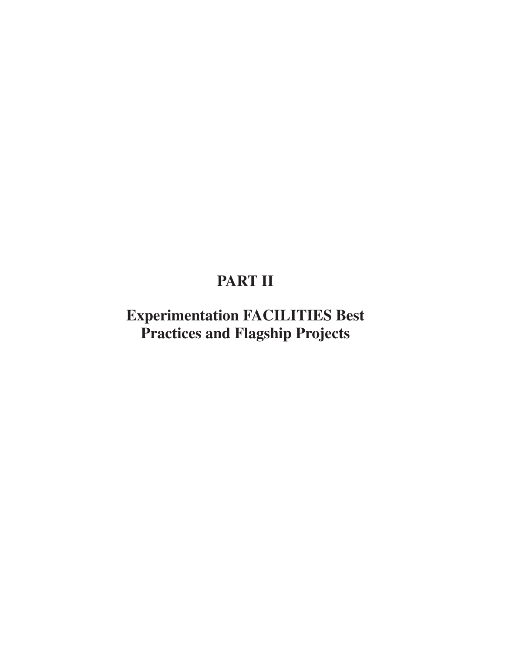# **PART II**

**Experimentation FACILITIES Best Practices and Flagship Projects**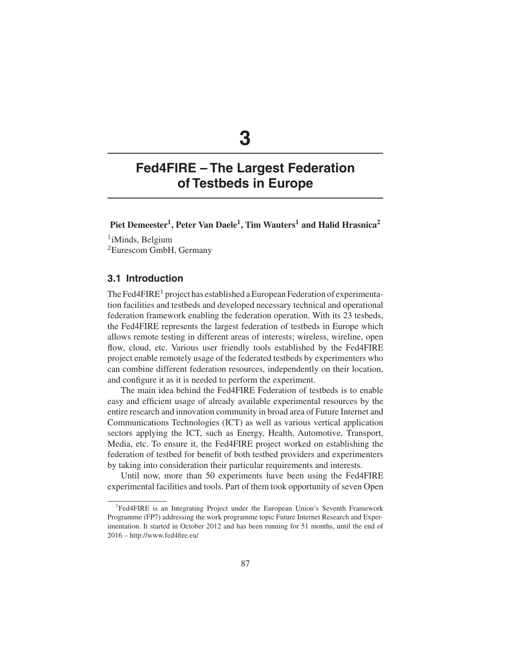# **3**

# **Fed4FIRE – The Largest Federation of Testbeds in Europe**

# Piet Demeester<sup>1</sup>, Peter Van Daele<sup>1</sup>, Tim Wauters<sup>1</sup> and Halid Hrasnica<sup>2</sup>

 $<sup>1</sup>$ iMinds, Belgium</sup> <sup>2</sup>Eurescom GmbH, Germany

## **3.1 Introduction**

The Fed4FIRE<sup>1</sup> project has established a European Federation of experimentation facilities and testbeds and developed necessary technical and operational federation framework enabling the federation operation. With its 23 tesbeds, the Fed4FIRE represents the largest federation of testbeds in Europe which allows remote testing in different areas of interests; wireless, wireline, open flow, cloud, etc. Various user friendly tools established by the Fed4FIRE project enable remotely usage of the federated testbeds by experimenters who can combine different federation resources, independently on their location, and configure it as it is needed to perform the experiment.

The main idea behind the Fed4FIRE Federation of testbeds is to enable easy and efficient usage of already available experimental resources by the entire research and innovation community in broad area of Future Internet and Communications Technologies (ICT) as well as various vertical application sectors applying the ICT, such as Energy, Health, Automotive, Transport, Media, etc. To ensure it, the Fed4FIRE project worked on establishing the federation of testbed for benefit of both testbed providers and experimenters by taking into consideration their particular requirements and interests.

Until now, more than 50 experiments have been using the Fed4FIRE experimental facilities and tools. Part of them took opportunity of seven Open

<sup>&</sup>lt;sup>1</sup>Fed4FIRE is an Integrating Project under the European Union's Seventh Framework Programme (FP7) addressing the work programme topic Future Internet Research and Experimentation. It started in October 2012 and has been running for 51 months, until the end of 2016 – http://www.fed4fire.eu/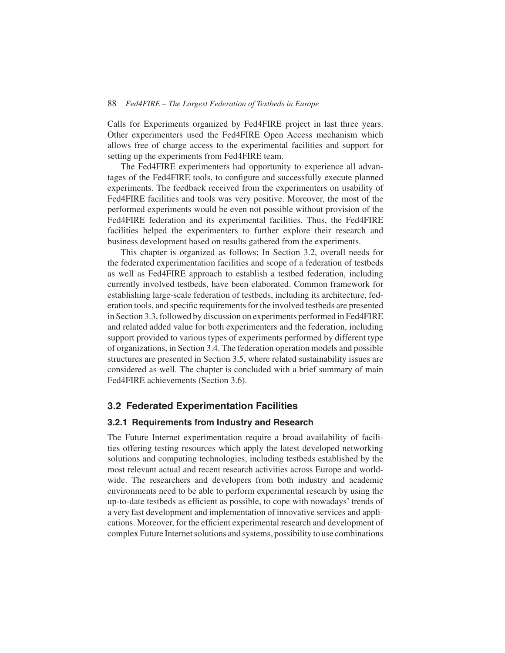Calls for Experiments organized by Fed4FIRE project in last three years. Other experimenters used the Fed4FIRE Open Access mechanism which allows free of charge access to the experimental facilities and support for setting up the experiments from Fed4FIRE team.

The Fed4FIRE experimenters had opportunity to experience all advantages of the Fed4FIRE tools, to configure and successfully execute planned experiments. The feedback received from the experimenters on usability of Fed4FIRE facilities and tools was very positive. Moreover, the most of the performed experiments would be even not possible without provision of the Fed4FIRE federation and its experimental facilities. Thus, the Fed4FIRE facilities helped the experimenters to further explore their research and business development based on results gathered from the experiments.

This chapter is organized as follows; In Section 3.2, overall needs for the federated experimentation facilities and scope of a federation of testbeds as well as Fed4FIRE approach to establish a testbed federation, including currently involved testbeds, have been elaborated. Common framework for establishing large-scale federation of testbeds, including its architecture, federation tools, and specific requirements for the involved testbeds are presented in Section 3.3, followed by discussion on experiments performed in Fed4FIRE and related added value for both experimenters and the federation, including support provided to various types of experiments performed by different type of organizations, in Section 3.4. The federation operation models and possible structures are presented in Section 3.5, where related sustainability issues are considered as well. The chapter is concluded with a brief summary of main Fed4FIRE achievements (Section 3.6).

## **3.2 Federated Experimentation Facilities**

## **3.2.1 Requirements from Industry and Research**

The Future Internet experimentation require a broad availability of facilities offering testing resources which apply the latest developed networking solutions and computing technologies, including testbeds established by the most relevant actual and recent research activities across Europe and worldwide. The researchers and developers from both industry and academic environments need to be able to perform experimental research by using the up-to-date testbeds as efficient as possible, to cope with nowadays' trends of a very fast development and implementation of innovative services and applications. Moreover, for the efficient experimental research and development of complex Future Internet solutions and systems, possibility to use combinations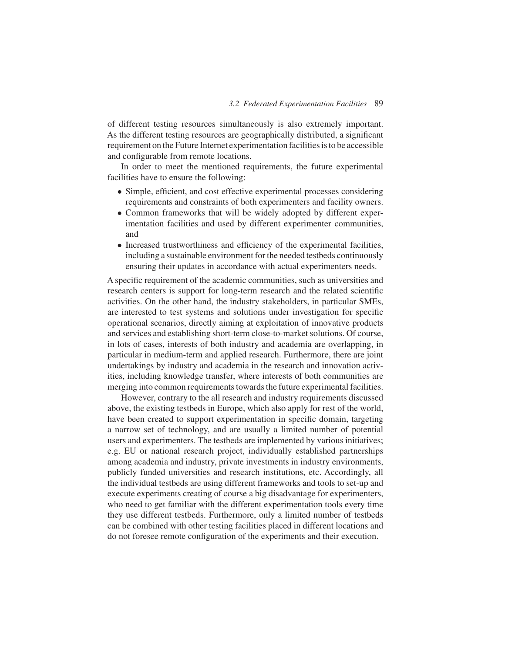of different testing resources simultaneously is also extremely important. As the different testing resources are geographically distributed, a significant requirement on the Future Internet experimentation facilities is to be accessible and configurable from remote locations.

In order to meet the mentioned requirements, the future experimental facilities have to ensure the following:

- Simple, efficient, and cost effective experimental processes considering requirements and constraints of both experimenters and facility owners.
- Common frameworks that will be widely adopted by different experimentation facilities and used by different experimenter communities, and
- Increased trustworthiness and efficiency of the experimental facilities, including a sustainable environment for the needed testbeds continuously ensuring their updates in accordance with actual experimenters needs.

A specific requirement of the academic communities, such as universities and research centers is support for long-term research and the related scientific activities. On the other hand, the industry stakeholders, in particular SMEs, are interested to test systems and solutions under investigation for specific operational scenarios, directly aiming at exploitation of innovative products and services and establishing short-term close-to-market solutions. Of course, in lots of cases, interests of both industry and academia are overlapping, in particular in medium-term and applied research. Furthermore, there are joint undertakings by industry and academia in the research and innovation activities, including knowledge transfer, where interests of both communities are merging into common requirements towards the future experimental facilities.

However, contrary to the all research and industry requirements discussed above, the existing testbeds in Europe, which also apply for rest of the world, have been created to support experimentation in specific domain, targeting a narrow set of technology, and are usually a limited number of potential users and experimenters. The testbeds are implemented by various initiatives; e.g. EU or national research project, individually established partnerships among academia and industry, private investments in industry environments, publicly funded universities and research institutions, etc. Accordingly, all the individual testbeds are using different frameworks and tools to set-up and execute experiments creating of course a big disadvantage for experimenters, who need to get familiar with the different experimentation tools every time they use different testbeds. Furthermore, only a limited number of testbeds can be combined with other testing facilities placed in different locations and do not foresee remote configuration of the experiments and their execution.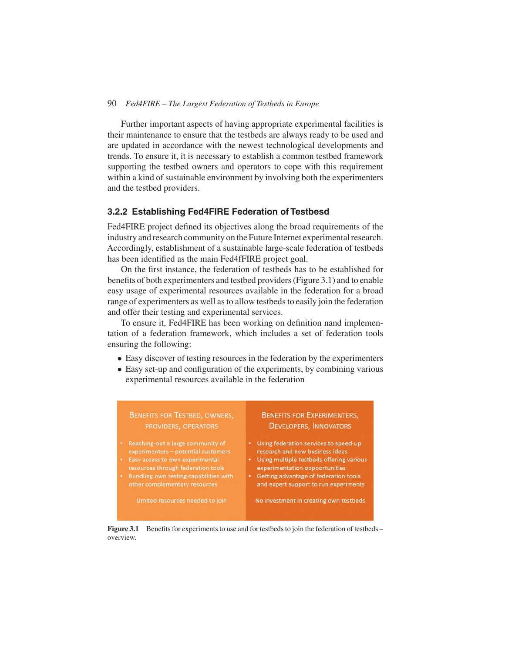Further important aspects of having appropriate experimental facilities is their maintenance to ensure that the testbeds are always ready to be used and are updated in accordance with the newest technological developments and trends. To ensure it, it is necessary to establish a common testbed framework supporting the testbed owners and operators to cope with this requirement within a kind of sustainable environment by involving both the experimenters and the testbed providers.

#### **3.2.2 Establishing Fed4FIRE Federation of Testbesd**

Fed4FIRE project defined its objectives along the broad requirements of the industry and research community on the Future Internet experimental research. Accordingly, establishment of a sustainable large-scale federation of testbeds has been identified as the main Fed4fFIRE project goal.

On the first instance, the federation of testbeds has to be established for benefits of both experimenters and testbed providers (Figure 3.1) and to enable easy usage of experimental resources available in the federation for a broad range of experimenters as well as to allow testbeds to easily join the federation and offer their testing and experimental services.

To ensure it, Fed4FIRE has been working on definition nand implementation of a federation framework, which includes a set of federation tools ensuring the following:

- Easy discover of testing resources in the federation by the experimenters
- Easy set-up and configuration of the experiments, by combining various experimental resources available in the federation



**Figure 3.1** Benefits for experiments to use and for testbeds to join the federation of testbeds – overview.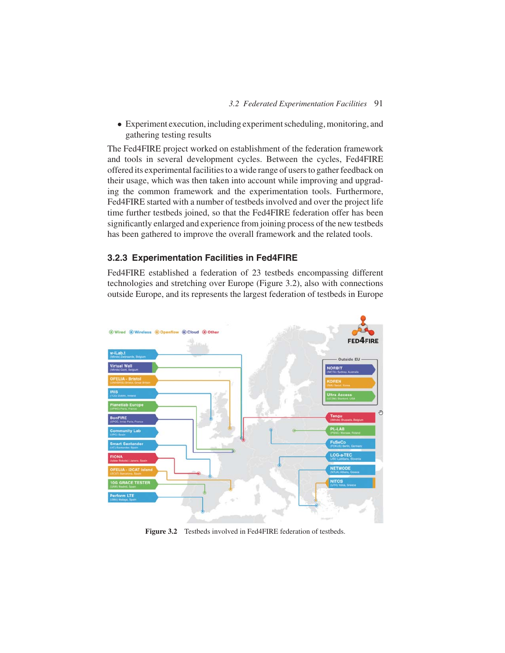• Experiment execution, including experiment scheduling, monitoring, and gathering testing results

The Fed4FIRE project worked on establishment of the federation framework and tools in several development cycles. Between the cycles, Fed4FIRE offered its experimental facilities to a wide range of users to gather feedback on their usage, which was then taken into account while improving and upgrading the common framework and the experimentation tools. Furthermore, Fed4FIRE started with a number of testbeds involved and over the project life time further testbeds joined, so that the Fed4FIRE federation offer has been significantly enlarged and experience from joining process of the new testbeds has been gathered to improve the overall framework and the related tools.

## **3.2.3 Experimentation Facilities in Fed4FIRE**

Fed4FIRE established a federation of 23 testbeds encompassing different technologies and stretching over Europe (Figure 3.2), also with connections outside Europe, and its represents the largest federation of testbeds in Europe



**Figure 3.2** Testbeds involved in Fed4FIRE federation of testbeds.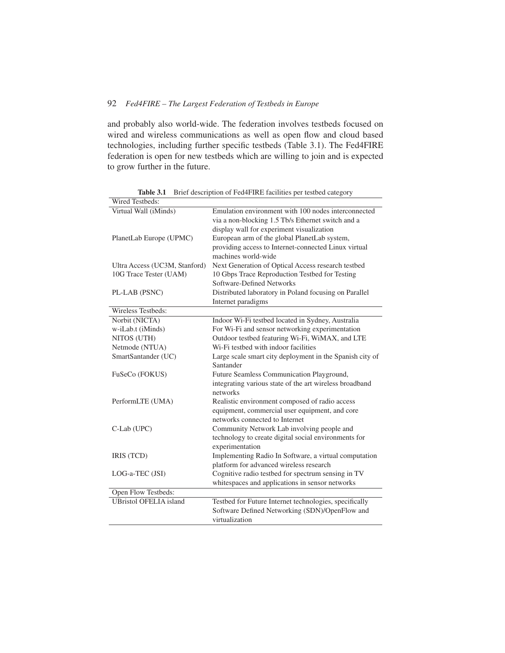and probably also world-wide. The federation involves testbeds focused on wired and wireless communications as well as open flow and cloud based technologies, including further specific testbeds (Table 3.1). The Fed4FIRE federation is open for new testbeds which are willing to join and is expected to grow further in the future.

| Wired Testbeds:               |                                                          |
|-------------------------------|----------------------------------------------------------|
| Virtual Wall (iMinds)         | Emulation environment with 100 nodes interconnected      |
|                               | via a non-blocking 1.5 Tb/s Ethernet switch and a        |
|                               | display wall for experiment visualization                |
| PlanetLab Europe (UPMC)       | European arm of the global PlanetLab system,             |
|                               | providing access to Internet-connected Linux virtual     |
|                               | machines world-wide                                      |
| Ultra Access (UC3M, Stanford) | Next Generation of Optical Access research testbed       |
| 10G Trace Tester (UAM)        | 10 Gbps Trace Reproduction Testbed for Testing           |
|                               | Software-Defined Networks                                |
| PL-LAB (PSNC)                 | Distributed laboratory in Poland focusing on Parallel    |
|                               | Internet paradigms                                       |
| Wireless Testbeds:            |                                                          |
| Norbit (NICTA)                | Indoor Wi-Fi testbed located in Sydney, Australia        |
| w-iLab.t (iMinds)             | For Wi-Fi and sensor networking experimentation          |
| NITOS (UTH)                   | Outdoor testbed featuring Wi-Fi, WiMAX, and LTE          |
| Netmode (NTUA)                | Wi-Fi testbed with indoor facilities                     |
| SmartSantander (UC)           | Large scale smart city deployment in the Spanish city of |
|                               | Santander                                                |
| FuSeCo (FOKUS)                | Future Seamless Communication Playground,                |
|                               | integrating various state of the art wireless broadband  |
|                               | networks                                                 |
| PerformLTE (UMA)              | Realistic environment composed of radio access           |
|                               | equipment, commercial user equipment, and core           |
|                               | networks connected to Internet                           |
| C-Lab (UPC)                   | Community Network Lab involving people and               |
|                               | technology to create digital social environments for     |
|                               | experimentation                                          |
| IRIS (TCD)                    | Implementing Radio In Software, a virtual computation    |
|                               | platform for advanced wireless research                  |
| LOG-a-TEC (JSI)               | Cognitive radio testbed for spectrum sensing in TV       |
|                               | whitespaces and applications in sensor networks          |
| Open Flow Testbeds:           |                                                          |
| <b>UBristol OFELIA</b> island | Testbed for Future Internet technologies, specifically   |
|                               | Software Defined Networking (SDN)/OpenFlow and           |
|                               | virtualization                                           |

Table 3.1 Brief description of Fed4FIRE facilities per testbed category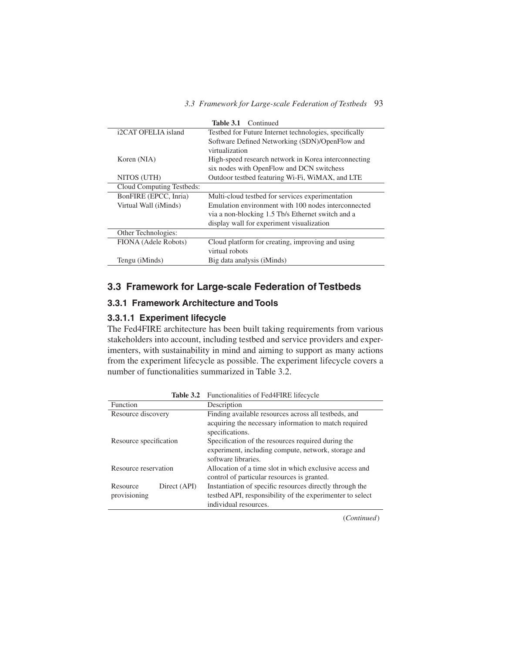| <b>Table 3.1</b> Continued     |                                                        |  |
|--------------------------------|--------------------------------------------------------|--|
| i2CAT OFELIA island            | Testbed for Future Internet technologies, specifically |  |
|                                | Software Defined Networking (SDN)/OpenFlow and         |  |
|                                | virtualization                                         |  |
| Koren (NIA)                    | High-speed research network in Korea interconnecting   |  |
|                                | six nodes with OpenFlow and DCN switchess              |  |
| NITOS (UTH)                    | Outdoor testbed featuring Wi-Fi, WiMAX, and LTE        |  |
| Cloud Computing Testbeds:      |                                                        |  |
| BonFIRE (EPCC, Inria)          | Multi-cloud testbed for services experimentation       |  |
| Virtual Wall ( <i>iMinds</i> ) | Emulation environment with 100 nodes interconnected    |  |
|                                | via a non-blocking 1.5 Tb/s Ethernet switch and a      |  |
|                                | display wall for experiment visualization              |  |
| Other Technologies:            |                                                        |  |
| FIONA (Adele Robots)           | Cloud platform for creating, improving and using       |  |
|                                | virtual robots                                         |  |
| Tengu ( <i>iMinds</i> )        | Big data analysis ( <i>iMinds</i> )                    |  |

# **3.3 Framework for Large-scale Federation of Testbeds**

# **3.3.1 Framework Architecture and Tools**

# **3.3.1.1 Experiment lifecycle**

The Fed4FIRE architecture has been built taking requirements from various stakeholders into account, including testbed and service providers and experimenters, with sustainability in mind and aiming to support as many actions from the experiment lifecycle as possible. The experiment lifecycle covers a number of functionalities summarized in Table 3.2.

|                        |              | <b>Table 3.2</b> Functionalities of Fed4FIRE lifecycle    |
|------------------------|--------------|-----------------------------------------------------------|
| Function               |              | Description                                               |
| Resource discovery     |              | Finding available resources across all testbeds, and      |
|                        |              | acquiring the necessary information to match required     |
|                        |              | specifications.                                           |
| Resource specification |              | Specification of the resources required during the        |
|                        |              | experiment, including compute, network, storage and       |
|                        |              | software libraries.                                       |
| Resource reservation   |              | Allocation of a time slot in which exclusive access and   |
|                        |              | control of particular resources is granted.               |
| Resource               | Direct (API) | Instantiation of specific resources directly through the  |
| provisioning           |              | testbed API, responsibility of the experimenter to select |
|                        |              | individual resources.                                     |

(*Continued*)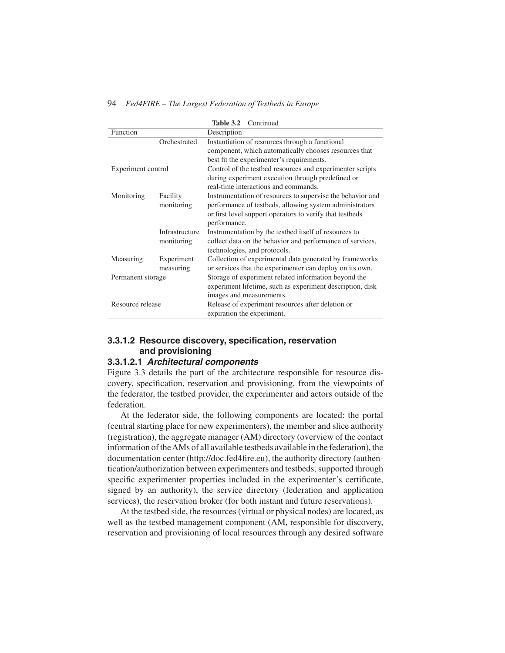|                    |                | <b>Table 3.2</b> Continued                                 |
|--------------------|----------------|------------------------------------------------------------|
| Function           |                | Description                                                |
|                    | Orchestrated   | Instantiation of resources through a functional            |
|                    |                | component, which automatically chooses resources that      |
|                    |                | best fit the experimenter's requirements.                  |
| Experiment control |                | Control of the testbed resources and experimenter scripts  |
|                    |                | during experiment execution through predefined or          |
|                    |                | real-time interactions and commands.                       |
| Monitoring         | Facility       | Instrumentation of resources to supervise the behavior and |
|                    | monitoring     | performance of testbeds, allowing system administrators    |
|                    |                | or first level support operators to verify that testbeds   |
|                    |                | performance.                                               |
|                    | Infrastructure | Instrumentation by the testbed itself of resources to      |
|                    | monitoring     | collect data on the behavior and performance of services,  |
|                    |                | technologies, and protocols.                               |
| Measuring          | Experiment     | Collection of experimental data generated by frameworks    |
|                    | measuring      | or services that the experimenter can deploy on its own.   |
| Permanent storage  |                | Storage of experiment related information beyond the       |
|                    |                | experiment lifetime, such as experiment description, disk  |
|                    |                | images and measurements.                                   |
| Resource release   |                | Release of experiment resources after deletion or          |
|                    |                | expiration the experiment.                                 |

## **3.3.1.2 Resource discovery, specification, reservation and provisioning**

### **3.3.1.2.1** *Architectural components*

Figure 3.3 details the part of the architecture responsible for resource discovery, specification, reservation and provisioning, from the viewpoints of the federator, the testbed provider, the experimenter and actors outside of the federation.

At the federator side, the following components are located: the portal (central starting place for new experimenters), the member and slice authority (registration), the aggregate manager (AM) directory (overview of the contact information of theAMs of all available testbeds available in the federation), the documentation center (http://doc.fed4fire.eu), the authority directory (authentication/authorization between experimenters and testbeds, supported through specific experimenter properties included in the experimenter's certificate, signed by an authority), the service directory (federation and application services), the reservation broker (for both instant and future reservations).

At the testbed side, the resources (virtual or physical nodes) are located, as well as the testbed management component (AM, responsible for discovery, reservation and provisioning of local resources through any desired software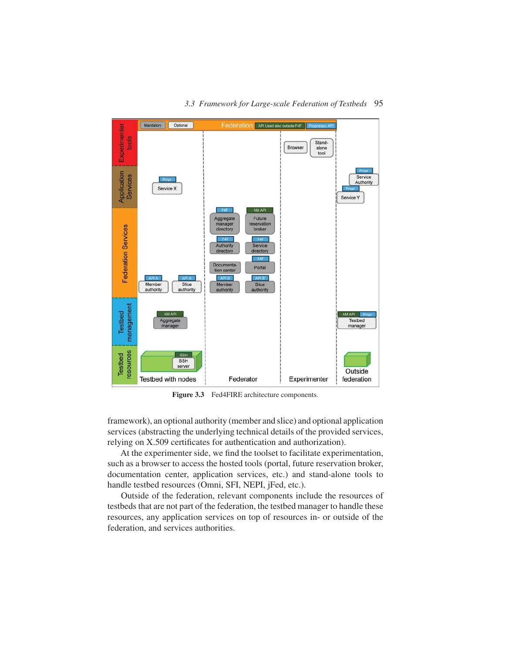

AM API Testbeo mana

Outside

federation

Experimenter

**Figure 3.3** Fed4FIRE architecture components.

Federator

Testbed

resources

Testbed

 $SSH$ 

SSH server

**Testbed with nodes** 

framework), an optional authority (member and slice) and optional application services (abstracting the underlying technical details of the provided services, relying on X.509 certificates for authentication and authorization).

At the experimenter side, we find the toolset to facilitate experimentation, such as a browser to access the hosted tools (portal, future reservation broker, documentation center, application services, etc.) and stand-alone tools to handle testbed resources (Omni, SFI, NEPI, jFed, etc.).

Outside of the federation, relevant components include the resources of testbeds that are not part of the federation, the testbed manager to handle these resources, any application services on top of resources in- or outside of the federation, and services authorities.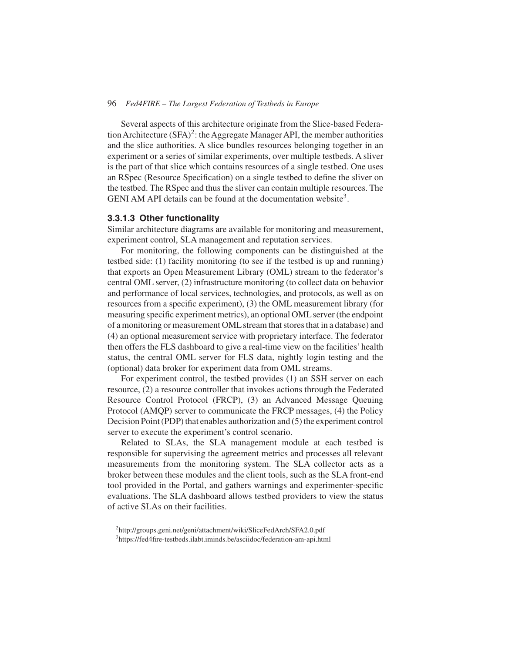Several aspects of this architecture originate from the Slice-based Federation Architecture  $(SFA)^2$ : the Aggregate Manager API, the member authorities and the slice authorities. A slice bundles resources belonging together in an experiment or a series of similar experiments, over multiple testbeds. A sliver is the part of that slice which contains resources of a single testbed. One uses an RSpec (Resource Specification) on a single testbed to define the sliver on the testbed. The RSpec and thus the sliver can contain multiple resources. The GENI AM API details can be found at the documentation website<sup>3</sup>.

#### **3.3.1.3 Other functionality**

Similar architecture diagrams are available for monitoring and measurement, experiment control, SLA management and reputation services.

For monitoring, the following components can be distinguished at the testbed side: (1) facility monitoring (to see if the testbed is up and running) that exports an Open Measurement Library (OML) stream to the federator's central OML server, (2) infrastructure monitoring (to collect data on behavior and performance of local services, technologies, and protocols, as well as on resources from a specific experiment), (3) the OML measurement library (for measuring specific experiment metrics), an optional OML server (the endpoint of a monitoring or measurement OML stream that stores that in a database) and (4) an optional measurement service with proprietary interface. The federator then offers the FLS dashboard to give a real-time view on the facilities' health status, the central OML server for FLS data, nightly login testing and the (optional) data broker for experiment data from OML streams.

For experiment control, the testbed provides (1) an SSH server on each resource, (2) a resource controller that invokes actions through the Federated Resource Control Protocol (FRCP), (3) an Advanced Message Queuing Protocol (AMQP) server to communicate the FRCP messages, (4) the Policy Decision Point (PDP) that enables authorization and (5) the experiment control server to execute the experiment's control scenario.

Related to SLAs, the SLA management module at each testbed is responsible for supervising the agreement metrics and processes all relevant measurements from the monitoring system. The SLA collector acts as a broker between these modules and the client tools, such as the SLA front-end tool provided in the Portal, and gathers warnings and experimenter-specific evaluations. The SLA dashboard allows testbed providers to view the status of active SLAs on their facilities.

<sup>&</sup>lt;sup>2</sup>http://groups.geni.net/geni/attachment/wiki/SliceFedArch/SFA2.0.pdf

<sup>&</sup>lt;sup>3</sup>https://fed4fire-testbeds.ilabt.iminds.be/asciidoc/federation-am-api.html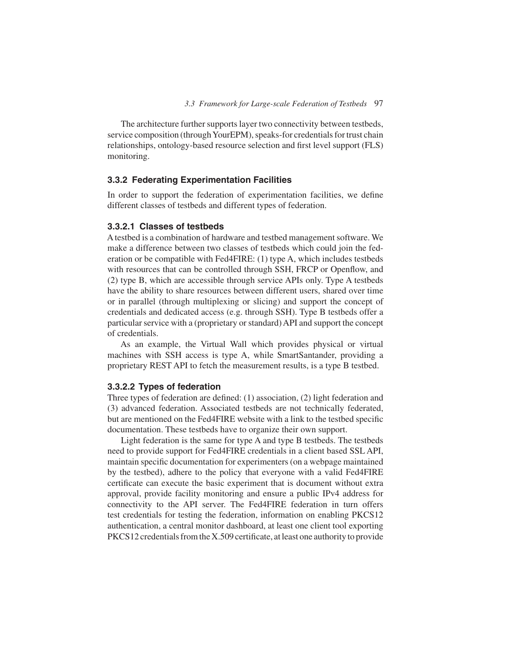The architecture further supports layer two connectivity between testbeds, service composition (through YourEPM), speaks-for credentials for trust chain relationships, ontology-based resource selection and first level support (FLS) monitoring.

## **3.3.2 Federating Experimentation Facilities**

In order to support the federation of experimentation facilities, we define different classes of testbeds and different types of federation.

## **3.3.2.1 Classes of testbeds**

A testbed is a combination of hardware and testbed management software. We make a difference between two classes of testbeds which could join the federation or be compatible with Fed4FIRE: (1) type A, which includes testbeds with resources that can be controlled through SSH, FRCP or Openflow, and (2) type B, which are accessible through service APIs only. Type A testbeds have the ability to share resources between different users, shared over time or in parallel (through multiplexing or slicing) and support the concept of credentials and dedicated access (e.g. through SSH). Type B testbeds offer a particular service with a (proprietary or standard) API and support the concept of credentials.

As an example, the Virtual Wall which provides physical or virtual machines with SSH access is type A, while SmartSantander, providing a proprietary REST API to fetch the measurement results, is a type B testbed.

#### **3.3.2.2 Types of federation**

Three types of federation are defined: (1) association, (2) light federation and (3) advanced federation. Associated testbeds are not technically federated, but are mentioned on the Fed4FIRE website with a link to the testbed specific documentation. These testbeds have to organize their own support.

Light federation is the same for type A and type B testbeds. The testbeds need to provide support for Fed4FIRE credentials in a client based SSL API, maintain specific documentation for experimenters (on a webpage maintained by the testbed), adhere to the policy that everyone with a valid Fed4FIRE certificate can execute the basic experiment that is document without extra approval, provide facility monitoring and ensure a public IPv4 address for connectivity to the API server. The Fed4FIRE federation in turn offers test credentials for testing the federation, information on enabling PKCS12 authentication, a central monitor dashboard, at least one client tool exporting PKCS12 credentials from the X.509 certificate, at least one authority to provide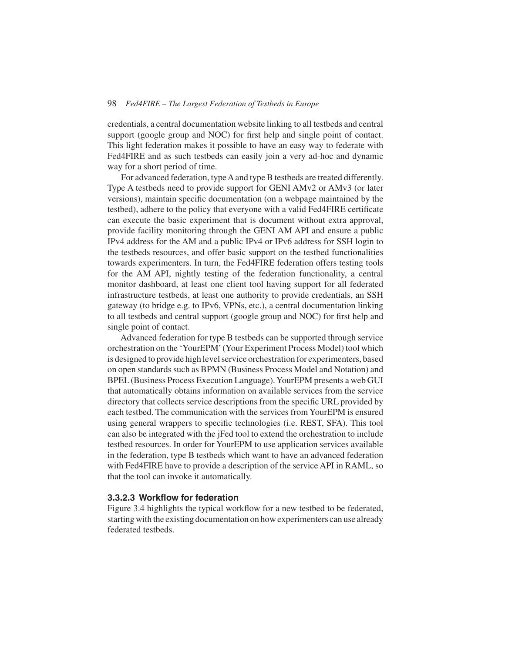credentials, a central documentation website linking to all testbeds and central support (google group and NOC) for first help and single point of contact. This light federation makes it possible to have an easy way to federate with Fed4FIRE and as such testbeds can easily join a very ad-hoc and dynamic way for a short period of time.

For advanced federation, type A and type B testbeds are treated differently. Type A testbeds need to provide support for GENI AMv2 or AMv3 (or later versions), maintain specific documentation (on a webpage maintained by the testbed), adhere to the policy that everyone with a valid Fed4FIRE certificate can execute the basic experiment that is document without extra approval, provide facility monitoring through the GENI AM API and ensure a public IPv4 address for the AM and a public IPv4 or IPv6 address for SSH login to the testbeds resources, and offer basic support on the testbed functionalities towards experimenters. In turn, the Fed4FIRE federation offers testing tools for the AM API, nightly testing of the federation functionality, a central monitor dashboard, at least one client tool having support for all federated infrastructure testbeds, at least one authority to provide credentials, an SSH gateway (to bridge e.g. to IPv6, VPNs, etc.), a central documentation linking to all testbeds and central support (google group and NOC) for first help and single point of contact.

Advanced federation for type B testbeds can be supported through service orchestration on the 'YourEPM' (Your Experiment Process Model) tool which is designed to provide high level service orchestration for experimenters, based on open standards such as BPMN (Business Process Model and Notation) and BPEL (Business Process Execution Language). YourEPM presents a web GUI that automatically obtains information on available services from the service directory that collects service descriptions from the specific URL provided by each testbed. The communication with the services from YourEPM is ensured using general wrappers to specific technologies (i.e. REST, SFA). This tool can also be integrated with the jFed tool to extend the orchestration to include testbed resources. In order for YourEPM to use application services available in the federation, type B testbeds which want to have an advanced federation with Fed4FIRE have to provide a description of the service API in RAML, so that the tool can invoke it automatically.

## **3.3.2.3 Workflow for federation**

Figure 3.4 highlights the typical workflow for a new testbed to be federated, starting with the existing documentation on how experimenters can use already federated testbeds.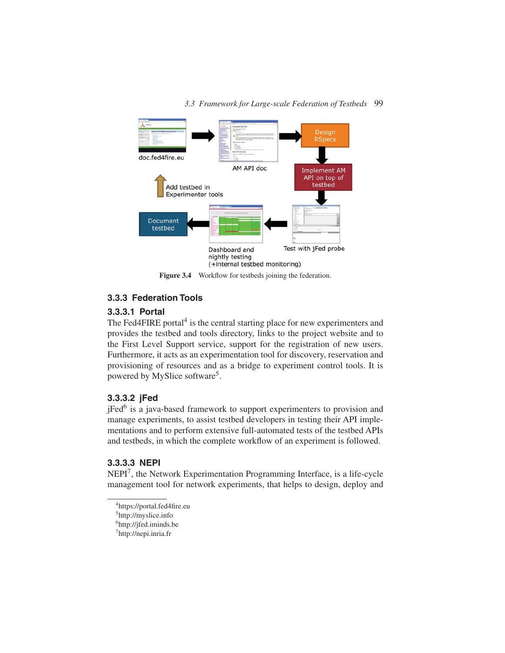

*3.3 Framework for Large-scale Federation of Testbeds* 99

**Figure 3.4** Workflow for testbeds joining the federation.

# **3.3.3 Federation Tools**

## **3.3.3.1 Portal**

The Fed4FIRE portal $4$  is the central starting place for new experimenters and provides the testbed and tools directory, links to the project website and to the First Level Support service, support for the registration of new users. Furthermore, it acts as an experimentation tool for discovery, reservation and provisioning of resources and as a bridge to experiment control tools. It is powered by MySlice software<sup>5</sup>.

## **3.3.3.2 jFed**

jFed6 is a java-based framework to support experimenters to provision and manage experiments, to assist testbed developers in testing their API implementations and to perform extensive full-automated tests of the testbed APIs and testbeds, in which the complete workflow of an experiment is followed.

## **3.3.3.3 NEPI**

NEPI7, the Network Experimentation Programming Interface, is a life-cycle management tool for network experiments, that helps to design, deploy and

4 https://portal.fed4fire.eu 5 http://myslice.info

- 6 http://jfed.iminds.be
- 7 http://nepi.inria.fr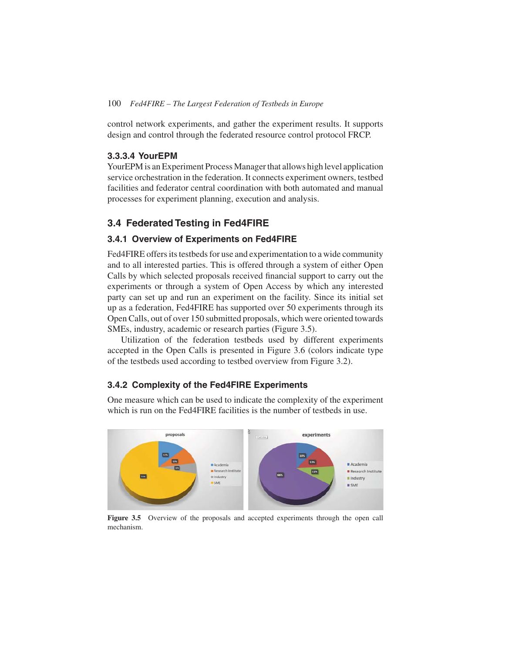control network experiments, and gather the experiment results. It supports design and control through the federated resource control protocol FRCP.

## **3.3.3.4 YourEPM**

YourEPM is an Experiment Process Manager that allows high level application service orchestration in the federation. It connects experiment owners, testbed facilities and federator central coordination with both automated and manual processes for experiment planning, execution and analysis.

## **3.4 Federated Testing in Fed4FIRE**

#### **3.4.1 Overview of Experiments on Fed4FIRE**

Fed4FIRE offers its testbeds for use and experimentation to a wide community and to all interested parties. This is offered through a system of either Open Calls by which selected proposals received financial support to carry out the experiments or through a system of Open Access by which any interested party can set up and run an experiment on the facility. Since its initial set up as a federation, Fed4FIRE has supported over 50 experiments through its Open Calls, out of over 150 submitted proposals, which were oriented towards SMEs, industry, academic or research parties (Figure 3.5).

Utilization of the federation testbeds used by different experiments accepted in the Open Calls is presented in Figure 3.6 (colors indicate type of the testbeds used according to testbed overview from Figure 3.2).

## **3.4.2 Complexity of the Fed4FIRE Experiments**

One measure which can be used to indicate the complexity of the experiment which is run on the Fed4FIRE facilities is the number of testbeds in use.



**Figure 3.5** Overview of the proposals and accepted experiments through the open call mechanism.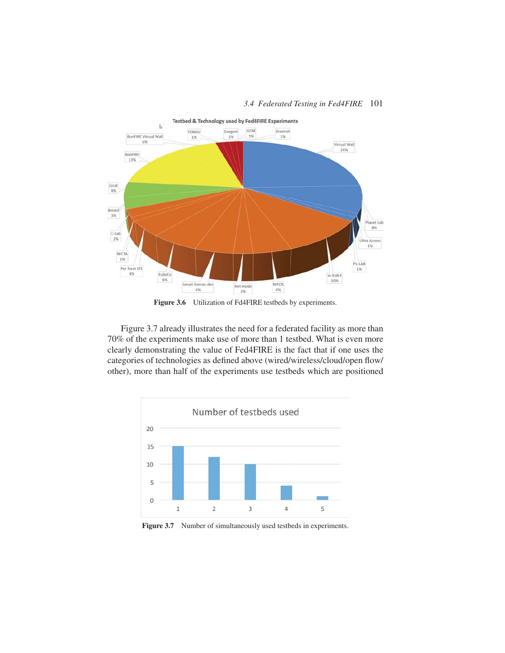#### *3.4 Federated Testing in Fed4FIRE* 101



Figure 3.6 Utilization of Fd4FIRE testbeds by experiments.

Figure 3.7 already illustrates the need for a federated facility as more than 70% of the experiments make use of more than 1 testbed. What is even more clearly demonstrating the value of Fed4FIRE is the fact that if one uses the categories of technologies as defined above (wired/wireless/cloud/open flow/ other), more than half of the experiments use testbeds which are positioned



**Figure 3.7** Number of simultaneously used testbeds in experiments.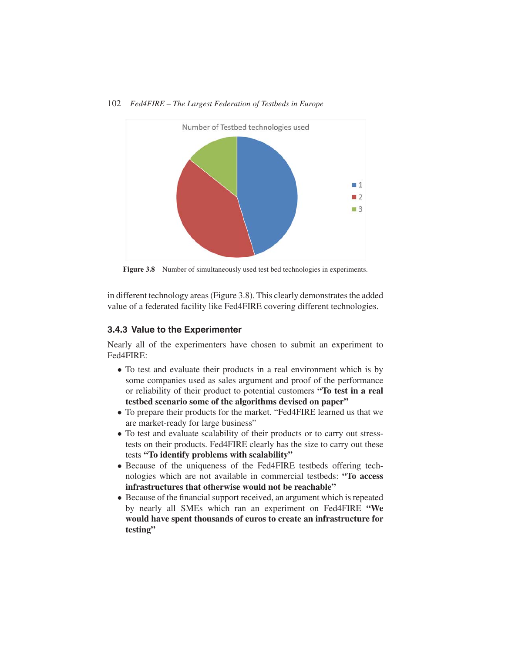

**Figure 3.8** Number of simultaneously used test bed technologies in experiments.

in different technology areas (Figure 3.8). This clearly demonstrates the added value of a federated facility like Fed4FIRE covering different technologies.

## **3.4.3 Value to the Experimenter**

Nearly all of the experimenters have chosen to submit an experiment to Fed4FIRE:

- To test and evaluate their products in a real environment which is by some companies used as sales argument and proof of the performance or reliability of their product to potential customers **"To test in a real testbed scenario some of the algorithms devised on paper"**
- To prepare their products for the market. "Fed4FIRE learned us that we are market-ready for large business"
- To test and evaluate scalability of their products or to carry out stresstests on their products. Fed4FIRE clearly has the size to carry out these tests **"To identify problems with scalability"**
- Because of the uniqueness of the Fed4FIRE testbeds offering technologies which are not available in commercial testbeds: **"To access infrastructures that otherwise would not be reachable"**
- Because of the financial support received, an argument which is repeated by nearly all SMEs which ran an experiment on Fed4FIRE **"We would have spent thousands of euros to create an infrastructure for testing"**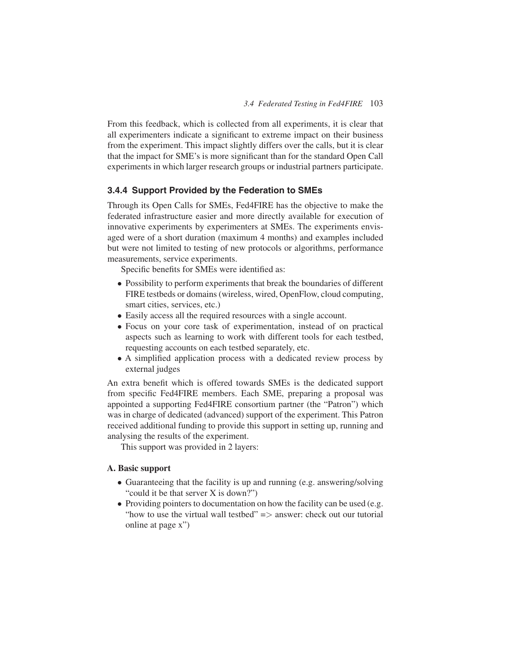From this feedback, which is collected from all experiments, it is clear that all experimenters indicate a significant to extreme impact on their business from the experiment. This impact slightly differs over the calls, but it is clear that the impact for SME's is more significant than for the standard Open Call experiments in which larger research groups or industrial partners participate.

## **3.4.4 Support Provided by the Federation to SMEs**

Through its Open Calls for SMEs, Fed4FIRE has the objective to make the federated infrastructure easier and more directly available for execution of innovative experiments by experimenters at SMEs. The experiments envisaged were of a short duration (maximum 4 months) and examples included but were not limited to testing of new protocols or algorithms, performance measurements, service experiments.

Specific benefits for SMEs were identified as:

- Possibility to perform experiments that break the boundaries of different FIRE testbeds or domains (wireless, wired, OpenFlow, cloud computing, smart cities, services, etc.)
- Easily access all the required resources with a single account.
- Focus on your core task of experimentation, instead of on practical aspects such as learning to work with different tools for each testbed, requesting accounts on each testbed separately, etc.
- A simplified application process with a dedicated review process by external judges

An extra benefit which is offered towards SMEs is the dedicated support from specific Fed4FIRE members. Each SME, preparing a proposal was appointed a supporting Fed4FIRE consortium partner (the "Patron") which was in charge of dedicated (advanced) support of the experiment. This Patron received additional funding to provide this support in setting up, running and analysing the results of the experiment.

This support was provided in 2 layers:

## **A. Basic support**

- Guaranteeing that the facility is up and running (e.g. answering/solving "could it be that server X is down?")
- Providing pointers to documentation on how the facility can be used (e.g. "how to use the virtual wall testbed"  $\Rightarrow$  answer: check out our tutorial online at page x")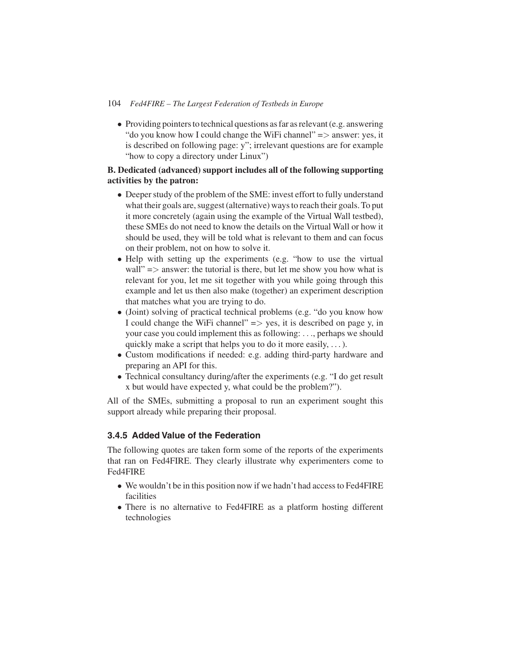• Providing pointers to technical questions as far as relevant (e.g. answering "do you know how I could change the WiFi channel" => answer: yes, it is described on following page: y"; irrelevant questions are for example "how to copy a directory under Linux")

## **B. Dedicated (advanced) support includes all of the following supporting activities by the patron:**

- Deeper study of the problem of the SME: invest effort to fully understand what their goals are, suggest (alternative) ways to reach their goals. To put it more concretely (again using the example of the Virtual Wall testbed), these SMEs do not need to know the details on the Virtual Wall or how it should be used, they will be told what is relevant to them and can focus on their problem, not on how to solve it.
- Help with setting up the experiments (e.g. "how to use the virtual wall"  $\Rightarrow$  answer: the tutorial is there, but let me show you how what is relevant for you, let me sit together with you while going through this example and let us then also make (together) an experiment description that matches what you are trying to do.
- (Joint) solving of practical technical problems (e.g. "do you know how I could change the WiFi channel"  $\Rightarrow$  yes, it is described on page y, in your case you could implement this as following: ..., perhaps we should quickly make a script that helps you to do it more easily, . . . ).
- Custom modifications if needed: e.g. adding third-party hardware and preparing an API for this.
- Technical consultancy during/after the experiments (e.g. "I do get result x but would have expected y, what could be the problem?").

All of the SMEs, submitting a proposal to run an experiment sought this support already while preparing their proposal.

## **3.4.5 Added Value of the Federation**

The following quotes are taken form some of the reports of the experiments that ran on Fed4FIRE. They clearly illustrate why experimenters come to Fed4FIRE

- We wouldn't be in this position now if we hadn't had access to Fed4FIRE facilities
- There is no alternative to Fed4FIRE as a platform hosting different technologies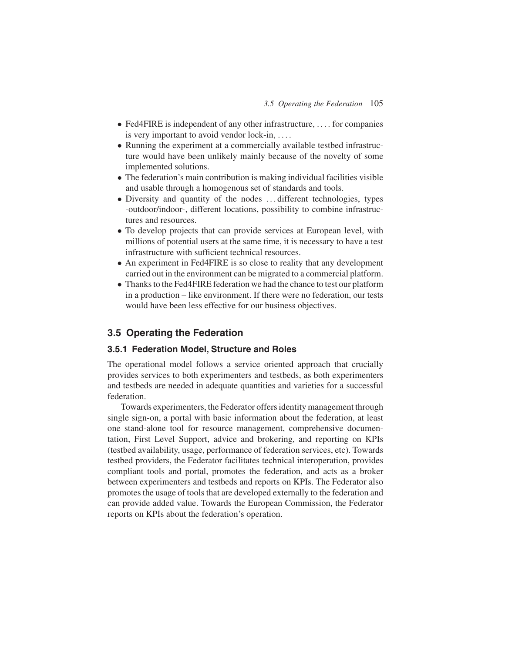- Fed4FIRE is independent of any other infrastructure, ..., for companies is very important to avoid vendor lock-in, ....
- Running the experiment at a commercially available testbed infrastructure would have been unlikely mainly because of the novelty of some implemented solutions.
- The federation's main contribution is making individual facilities visible and usable through a homogenous set of standards and tools.
- Diversity and quantity of the nodes ... different technologies, types -outdoor/indoor-, different locations, possibility to combine infrastructures and resources.
- To develop projects that can provide services at European level, with millions of potential users at the same time, it is necessary to have a test infrastructure with sufficient technical resources.
- An experiment in Fed4FIRE is so close to reality that any development carried out in the environment can be migrated to a commercial platform.
- Thanks to the Fed4FIRE federation we had the chance to test our platform in a production – like environment. If there were no federation, our tests would have been less effective for our business objectives.

## **3.5 Operating the Federation**

# **3.5.1 Federation Model, Structure and Roles**

The operational model follows a service oriented approach that crucially provides services to both experimenters and testbeds, as both experimenters and testbeds are needed in adequate quantities and varieties for a successful federation.

Towards experimenters, the Federator offers identity management through single sign-on, a portal with basic information about the federation, at least one stand-alone tool for resource management, comprehensive documentation, First Level Support, advice and brokering, and reporting on KPIs (testbed availability, usage, performance of federation services, etc). Towards testbed providers, the Federator facilitates technical interoperation, provides compliant tools and portal, promotes the federation, and acts as a broker between experimenters and testbeds and reports on KPIs. The Federator also promotes the usage of tools that are developed externally to the federation and can provide added value. Towards the European Commission, the Federator reports on KPIs about the federation's operation.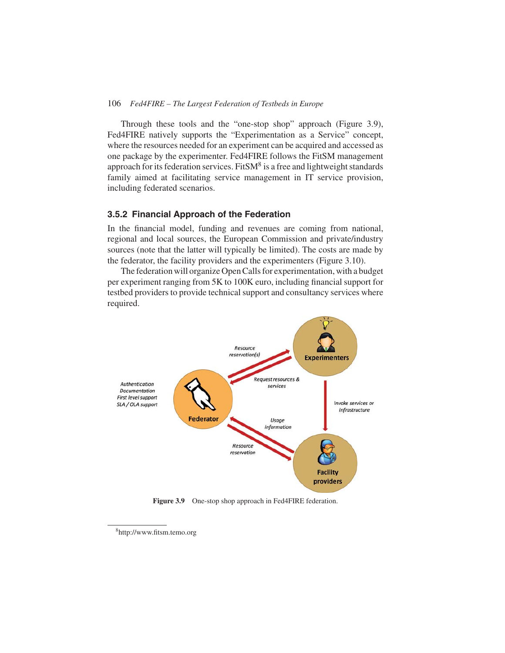Through these tools and the "one-stop shop" approach (Figure 3.9), Fed4FIRE natively supports the "Experimentation as a Service" concept, where the resources needed for an experiment can be acquired and accessed as one package by the experimenter. Fed4FIRE follows the FitSM management approach for its federation services. FitS $M^8$  is a free and lightweight standards family aimed at facilitating service management in IT service provision, including federated scenarios.

## **3.5.2 Financial Approach of the Federation**

In the financial model, funding and revenues are coming from national, regional and local sources, the European Commission and private/industry sources (note that the latter will typically be limited). The costs are made by the federator, the facility providers and the experimenters (Figure 3.10).

The federation will organize Open Calls for experimentation, with a budget per experiment ranging from 5K to 100K euro, including financial support for testbed providers to provide technical support and consultancy services where required.



**Figure 3.9** One-stop shop approach in Fed4FIRE federation.

<sup>8</sup> http://www.fitsm.temo.org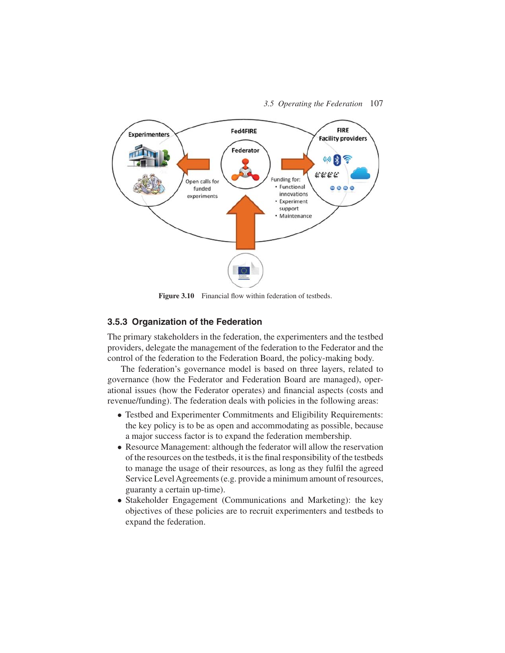



Figure 3.10 Financial flow within federation of testbeds.

## **3.5.3 Organization of the Federation**

The primary stakeholders in the federation, the experimenters and the testbed providers, delegate the management of the federation to the Federator and the control of the federation to the Federation Board, the policy-making body.

The federation's governance model is based on three layers, related to governance (how the Federator and Federation Board are managed), operational issues (how the Federator operates) and financial aspects (costs and revenue/funding). The federation deals with policies in the following areas:

- Testbed and Experimenter Commitments and Eligibility Requirements: the key policy is to be as open and accommodating as possible, because a major success factor is to expand the federation membership.
- Resource Management: although the federator will allow the reservation of the resources on the testbeds, it is the final responsibility of the testbeds to manage the usage of their resources, as long as they fulfil the agreed Service Level Agreements (e.g. provide a minimum amount of resources, guaranty a certain up-time).
- Stakeholder Engagement (Communications and Marketing): the key objectives of these policies are to recruit experimenters and testbeds to expand the federation.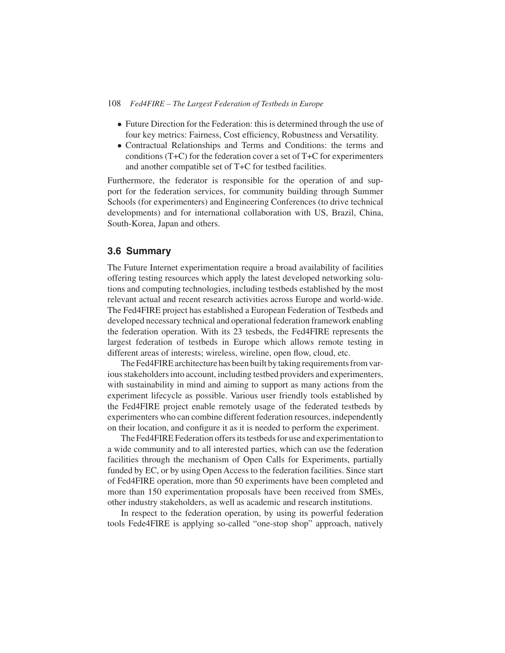- Future Direction for the Federation: this is determined through the use of four key metrics: Fairness, Cost efficiency, Robustness and Versatility.
- Contractual Relationships and Terms and Conditions: the terms and conditions (T+C) for the federation cover a set of T+C for experimenters and another compatible set of T+C for testbed facilities.

Furthermore, the federator is responsible for the operation of and support for the federation services, for community building through Summer Schools (for experimenters) and Engineering Conferences (to drive technical developments) and for international collaboration with US, Brazil, China, South-Korea, Japan and others.

# **3.6 Summary**

The Future Internet experimentation require a broad availability of facilities offering testing resources which apply the latest developed networking solutions and computing technologies, including testbeds established by the most relevant actual and recent research activities across Europe and world-wide. The Fed4FIRE project has established a European Federation of Testbeds and developed necessary technical and operational federation framework enabling the federation operation. With its 23 tesbeds, the Fed4FIRE represents the largest federation of testbeds in Europe which allows remote testing in different areas of interests; wireless, wireline, open flow, cloud, etc.

The Fed4FIRE architecture has been built by taking requirements from various stakeholders into account, including testbed providers and experimenters, with sustainability in mind and aiming to support as many actions from the experiment lifecycle as possible. Various user friendly tools established by the Fed4FIRE project enable remotely usage of the federated testbeds by experimenters who can combine different federation resources, independently on their location, and configure it as it is needed to perform the experiment.

The Fed4FIRE Federation offers its testbeds for use and experimentation to a wide community and to all interested parties, which can use the federation facilities through the mechanism of Open Calls for Experiments, partially funded by EC, or by using Open Access to the federation facilities. Since start of Fed4FIRE operation, more than 50 experiments have been completed and more than 150 experimentation proposals have been received from SMEs, other industry stakeholders, as well as academic and research institutions.

In respect to the federation operation, by using its powerful federation tools Fede4FIRE is applying so-called "one-stop shop" approach, natively